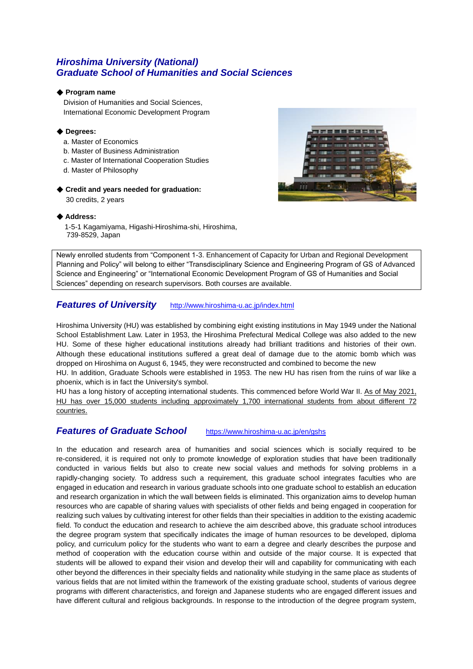## *Hiroshima University (National) Graduate School of Humanities and Social Sciences*

### ◆ **Program name**

 Division of Humanities and Social Sciences, International Economic Development Program

#### ◆ **Degrees:**

- a. Master of Economics
- b. Master of Business Administration
- c. Master of International Cooperation Studies
- d. Master of Philosophy

## ◆ **Credit and years needed for graduation:**

30 credits, 2 years



### ◆ **Address:**

1-5-1 Kagamiyama, Higashi-Hiroshima-shi, Hiroshima, 739-8529, Japan

Newly enrolled students from "Component 1-3. Enhancement of Capacity for Urban and Regional Development Planning and Policy" will belong to either "Transdisciplinary Science and Engineering Program of GS of Advanced Science and Engineering" or "International Economic Development Program of GS of Humanities and Social Sciences" depending on research supervisors. Both courses are available.

## *Features of University* <http://www.hiroshima-u.ac.jp/index.html>

Hiroshima University (HU) was established by combining eight existing institutions in May 1949 under the National School Establishment Law. Later in 1953, the Hiroshima Prefectural Medical College was also added to the new HU. Some of these higher educational institutions already had brilliant traditions and histories of their own. Although these educational institutions suffered a great deal of damage due to the atomic bomb which was dropped on Hiroshima on August 6, 1945, they were reconstructed and combined to become the new

HU. In addition, Graduate Schools were established in 1953. The new HU has risen from the ruins of war like a phoenix, which is in fact the University's symbol.

HU has a long history of accepting international students. This commenced before World War II. As of May 2021, HU has over 15,000 students including approximately 1,700 international students from about different 72 countries.

## *Features of Graduate School* <https://www.hiroshima-u.ac.jp/en/gshs>

In the education and research area of humanities and social sciences which is socially required to be re-considered, it is required not only to promote knowledge of exploration studies that have been traditionally conducted in various fields but also to create new social values and methods for solving problems in a rapidly-changing society. To address such a requirement, this graduate school integrates faculties who are engaged in education and research in various graduate schools into one graduate school to establish an education and research organization in which the wall between fields is eliminated. This organization aims to develop human resources who are capable of sharing values with specialists of other fields and being engaged in cooperation for realizing such values by cultivating interest for other fields than their specialties in addition to the existing academic field. To conduct the education and research to achieve the aim described above, this graduate school introduces the degree program system that specifically indicates the image of human resources to be developed, diploma policy, and curriculum policy for the students who want to earn a degree and clearly describes the purpose and method of cooperation with the education course within and outside of the major course. It is expected that students will be allowed to expand their vision and develop their will and capability for communicating with each other beyond the differences in their specialty fields and nationality while studying in the same place as students of various fields that are not limited within the framework of the existing graduate school, students of various degree programs with different characteristics, and foreign and Japanese students who are engaged different issues and have different cultural and religious backgrounds. In response to the introduction of the degree program system,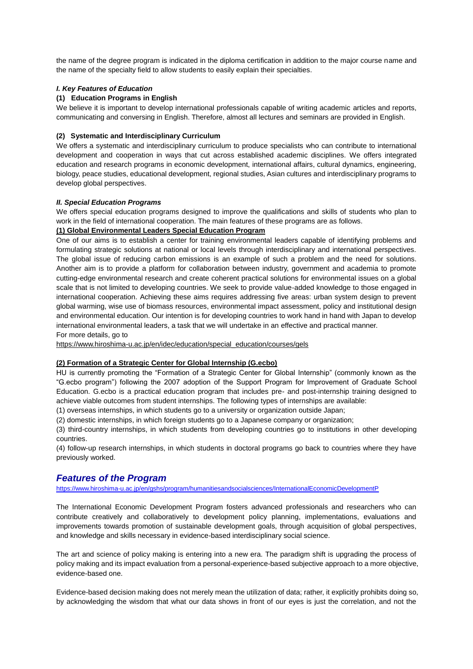the name of the degree program is indicated in the diploma certification in addition to the major course name and the name of the specialty field to allow students to easily explain their specialties.

### *I. Key Features of Education*

### **(1) Education Programs in English**

We believe it is important to develop international professionals capable of writing academic articles and reports, communicating and conversing in English. Therefore, almost all lectures and seminars are provided in English.

#### **(2) Systematic and Interdisciplinary Curriculum**

We offers a systematic and interdisciplinary curriculum to produce specialists who can contribute to international development and cooperation in ways that cut across established academic disciplines. We offers integrated education and research programs in economic development, international affairs, cultural dynamics, engineering, biology, peace studies, educational development, regional studies, Asian cultures and interdisciplinary programs to develop global perspectives.

#### *II. Special Education Programs*

We offers special education programs designed to improve the qualifications and skills of students who plan to work in the field of international cooperation. The main features of these programs are as follows.

## **(1) Global Environmental Leaders Special Education Program**

One of our aims is to establish a center for training environmental leaders capable of identifying problems and formulating strategic solutions at national or local levels through interdisciplinary and international perspectives. The global issue of reducing carbon emissions is an example of such a problem and the need for solutions. Another aim is to provide a platform for collaboration between industry, government and academia to promote cutting-edge environmental research and create coherent practical solutions for environmental issues on a global scale that is not limited to developing countries. We seek to provide value-added knowledge to those engaged in international cooperation. Achieving these aims requires addressing five areas: urban system design to prevent global warming, wise use of biomass resources, environmental impact assessment, policy and institutional design and environmental education. Our intention is for developing countries to work hand in hand with Japan to develop international environmental leaders, a task that we will undertake in an effective and practical manner. For more details, go to

[https://www.hiroshima-u.ac.jp/en/idec/education/special\\_education/courses/gels](https://www.hiroshima-u.ac.jp/en/idec/education/special_education/courses/gels)

### **(2) Formation of a Strategic Center for Global Internship (G.ecbo)**

HU is currently promoting the "Formation of a Strategic Center for Global Internship" (commonly known as the "G.ecbo program") following the 2007 adoption of the Support Program for Improvement of Graduate School Education. G.ecbo is a practical education program that includes pre- and post-internship training designed to achieve viable outcomes from student internships. The following types of internships are available:

(1) overseas internships, in which students go to a university or organization outside Japan;

(2) domestic internships, in which foreign students go to a Japanese company or organization;

(3) third-country internships, in which students from developing countries go to institutions in other developing countries.

(4) follow-up research internships, in which students in doctoral programs go back to countries where they have previously worked.

## *Features of the Program*

<https://www.hiroshima-u.ac.jp/en/gshs/program/humanitiesandsocialsciences/InternationalEconomicDevelopmentP>

The International Economic Development Program fosters advanced professionals and researchers who can contribute creatively and collaboratively to development policy planning, implementations, evaluations and improvements towards promotion of sustainable development goals, through acquisition of global perspectives, and knowledge and skills necessary in evidence-based interdisciplinary social science.

The art and science of policy making is entering into a new era. The paradigm shift is upgrading the process of policy making and its impact evaluation from a personal-experience-based subjective approach to a more objective, evidence-based one.

Evidence-based decision making does not merely mean the utilization of data; rather, it explicitly prohibits doing so, by acknowledging the wisdom that what our data shows in front of our eyes is just the correlation, and not the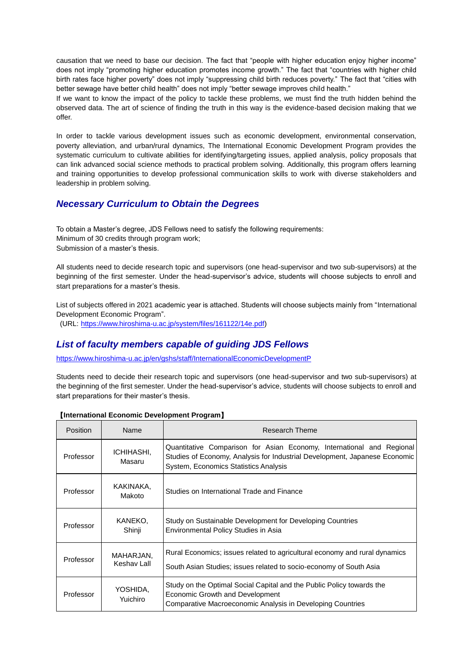causation that we need to base our decision. The fact that "people with higher education enjoy higher income" does not imply "promoting higher education promotes income growth." The fact that "countries with higher child birth rates face higher poverty" does not imply "suppressing child birth reduces poverty." The fact that "cities with better sewage have better child health" does not imply "better sewage improves child health."

If we want to know the impact of the policy to tackle these problems, we must find the truth hidden behind the observed data. The art of science of finding the truth in this way is the evidence-based decision making that we offer.

In order to tackle various development issues such as economic development, environmental conservation, poverty alleviation, and urban/rural dynamics, The International Economic Development Program provides the systematic curriculum to cultivate abilities for identifying/targeting issues, applied analysis, policy proposals that can link advanced social science methods to practical problem solving. Additionally, this program offers learning and training opportunities to develop professional communication skills to work with diverse stakeholders and leadership in problem solving.

## *Necessary Curriculum to Obtain the Degrees*

To obtain a Master's degree, JDS Fellows need to satisfy the following requirements: Minimum of 30 credits through program work; Submission of a master's thesis.

All students need to decide research topic and supervisors (one head-supervisor and two sub-supervisors) at the beginning of the first semester. Under the head-supervisor's advice, students will choose subjects to enroll and start preparations for a master's thesis.

List of subjects offered in 2021 academic year is attached. Students will choose subjects mainly from "International Development Economic Program".

(URL: [https://www.hiroshima-u.ac.jp/system/files/161122/14e.pdf\)](https://www.hiroshima-u.ac.jp/system/files/161122/14e.pdf)

## *List of faculty members capable of guiding JDS Fellows*

<https://www.hiroshima-u.ac.jp/en/gshs/staff/InternationalEconomicDevelopmentP>

Students need to decide their research topic and supervisors (one head-supervisor and two sub-supervisors) at the beginning of the first semester. Under the head-supervisor's advice, students will choose subjects to enroll and start preparations for their master's thesis.

| <b>Position</b> | Name                     | Research Theme                                                                                                                                                                                      |
|-----------------|--------------------------|-----------------------------------------------------------------------------------------------------------------------------------------------------------------------------------------------------|
| Professor       | ICHIHASHI,<br>Masaru     | Quantitative Comparison for Asian Economy, International and Regional<br>Studies of Economy, Analysis for Industrial Development, Japanese Economic<br><b>System, Economics Statistics Analysis</b> |
| Professor       | KAKINAKA.<br>Makoto      | Studies on International Trade and Finance                                                                                                                                                          |
| Professor       | KANEKO.<br>Shinji        | Study on Sustainable Development for Developing Countries<br>Environmental Policy Studies in Asia                                                                                                   |
| Professor       | MAHARJAN,<br>Keshav Lall | Rural Economics; issues related to agricultural economy and rural dynamics<br>South Asian Studies; issues related to socio-economy of South Asia                                                    |
| Professor       | YOSHIDA,<br>Yuichiro     | Study on the Optimal Social Capital and the Public Policy towards the<br>Economic Growth and Development<br>Comparative Macroeconomic Analysis in Developing Countries                              |

### 【**International Economic Development Program**】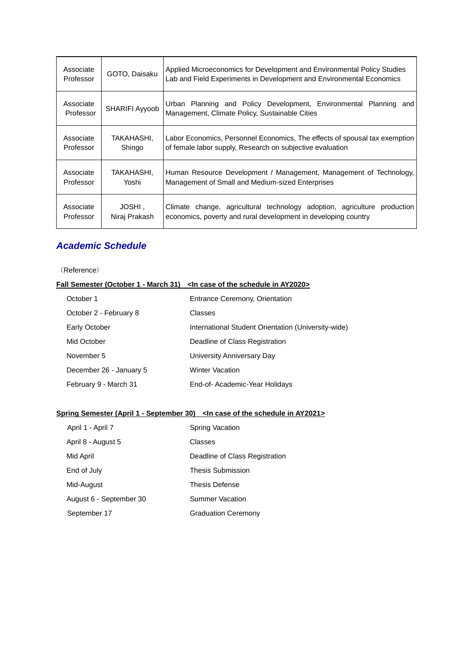| Associate<br>Professor | GOTO, Daisaku           | Applied Microeconomics for Development and Environmental Policy Studies<br>Lab and Field Experiments in Development and Environmental Economics                                                                                                                                                                                                                                             |  |
|------------------------|-------------------------|---------------------------------------------------------------------------------------------------------------------------------------------------------------------------------------------------------------------------------------------------------------------------------------------------------------------------------------------------------------------------------------------|--|
| Associate<br>Professor | SHARIFI Ayyoob          | Urban Planning and Policy Development, Environmental Planning<br>and<br>Management, Climate Policy, Sustainable Cities<br>Labor Economics, Personnel Economics, The effects of spousal tax exemption<br>of female labor supply, Research on subjective evaluation<br>Human Resource Development / Management, Management of Technology,<br>Management of Small and Medium-sized Enterprises |  |
| Associate<br>Professor | TAKAHASHI.<br>Shingo    |                                                                                                                                                                                                                                                                                                                                                                                             |  |
| Associate<br>Professor | TAKAHASHI.<br>Yoshi     |                                                                                                                                                                                                                                                                                                                                                                                             |  |
| Associate<br>Professor | JOSHI,<br>Niraj Prakash | Climate change, agricultural technology adoption, agriculture<br>production<br>economics, poverty and rural development in developing country                                                                                                                                                                                                                                               |  |

## *Academic Schedule*

## (Reference)

|                         | Fall Semester (October 1 - March 31) < In case of the schedule in AY2020> |  |
|-------------------------|---------------------------------------------------------------------------|--|
| October 1               | <b>Entrance Ceremony, Orientation</b>                                     |  |
| October 2 - February 8  | Classes                                                                   |  |
| Early October           | International Student Orientation (University-wide)                       |  |
| Mid October             | Deadline of Class Registration                                            |  |
| November 5              | University Anniversary Day                                                |  |
| December 26 - January 5 | <b>Winter Vacation</b>                                                    |  |
| February 9 - March 31   | End-of-Academic-Year Holidays                                             |  |

## **Spring Semester (April 1 - September 30) <In case of the schedule in AY2021>**

|             | April 1 - April 7       | Spring Vacation                |
|-------------|-------------------------|--------------------------------|
|             | April 8 - August 5      | Classes                        |
| Mid April   |                         | Deadline of Class Registration |
| End of July |                         | <b>Thesis Submission</b>       |
| Mid-August  |                         | <b>Thesis Defense</b>          |
|             | August 6 - September 30 | Summer Vacation                |
|             | September 17            | <b>Graduation Ceremony</b>     |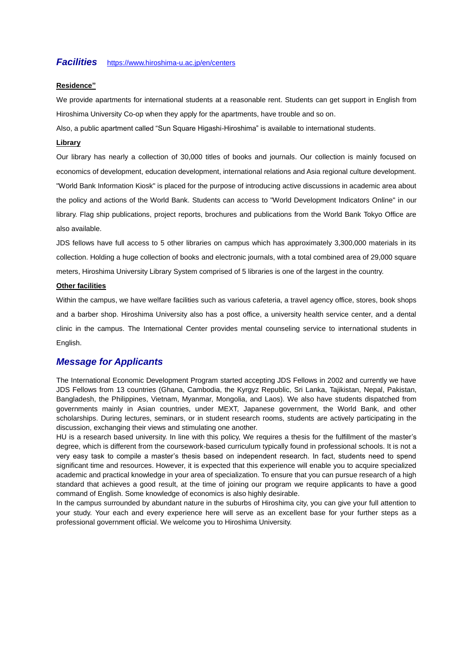## *Facilities* <https://www.hiroshima-u.ac.jp/en/centers>

#### **Residence"**

We provide apartments for international students at a reasonable rent. Students can get support in English from Hiroshima University Co-op when they apply for the apartments, have trouble and so on.

Also, a public apartment called "Sun Square Higashi-Hiroshima" is available to international students.

#### **Library**

Our library has nearly a collection of 30,000 titles of books and journals. Our collection is mainly focused on economics of development, education development, international relations and Asia regional culture development. "World Bank Information Kiosk" is placed for the purpose of introducing active discussions in academic area about the policy and actions of the World Bank. Students can access to "World Development Indicators Online" in our library. Flag ship publications, project reports, brochures and publications from the World Bank Tokyo Office are also available.

JDS fellows have full access to 5 other libraries on campus which has approximately 3,300,000 materials in its collection. Holding a huge collection of books and electronic journals, with a total combined area of 29,000 square meters, Hiroshima University Library System comprised of 5 libraries is one of the largest in the country.

#### **Other facilities**

Within the campus, we have welfare facilities such as various cafeteria, a travel agency office, stores, book shops and a barber shop. Hiroshima University also has a post office, a university health service center, and a dental clinic in the campus. The International Center provides mental counseling service to international students in English.

## *Message for Applicants*

The International Economic Development Program started accepting JDS Fellows in 2002 and currently we have JDS Fellows from 13 countries (Ghana, Cambodia, the Kyrgyz Republic, Sri Lanka, Tajikistan, Nepal, Pakistan, Bangladesh, the Philippines, Vietnam, Myanmar, Mongolia, and Laos). We also have students dispatched from governments mainly in Asian countries, under MEXT, Japanese government, the World Bank, and other scholarships. During lectures, seminars, or in student research rooms, students are actively participating in the discussion, exchanging their views and stimulating one another.

HU is a research based university. In line with this policy, We requires a thesis for the fulfillment of the master's degree, which is different from the coursework-based curriculum typically found in professional schools. It is not a very easy task to compile a master's thesis based on independent research. In fact, students need to spend significant time and resources. However, it is expected that this experience will enable you to acquire specialized academic and practical knowledge in your area of specialization. To ensure that you can pursue research of a high standard that achieves a good result, at the time of joining our program we require applicants to have a good command of English. Some knowledge of economics is also highly desirable.

In the campus surrounded by abundant nature in the suburbs of Hiroshima city, you can give your full attention to your study. Your each and every experience here will serve as an excellent base for your further steps as a professional government official. We welcome you to Hiroshima University.